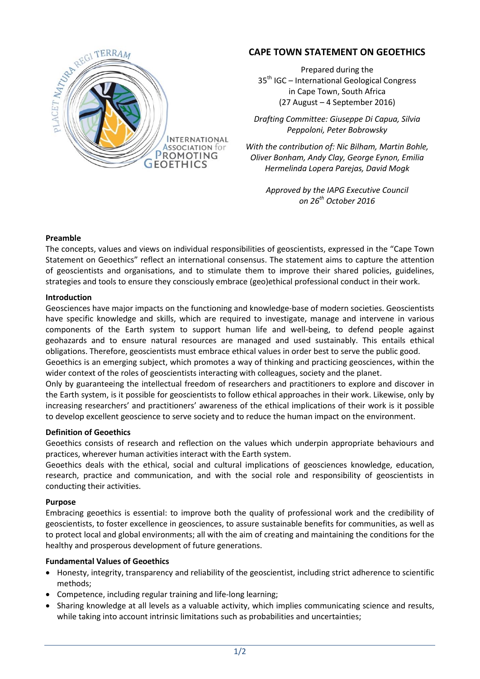

# **CAPE TOWN STATEMENT ON GEOETHICS**

Prepared during the 35<sup>th</sup> IGC – International Geological Congress in Cape Town, South Africa (27 August – 4 September 2016)

*Drafting Committee: Giuseppe Di Capua, Silvia Peppoloni, Peter Bobrowsky*

*With the contribution of: Nic Bilham, Martin Bohle, Oliver Bonham, Andy Clay, George Eynon, Emilia Hermelinda Lopera Parejas, David Mogk*

> *Approved by the IAPG Executive Council on 26th October 2016*

## **Preamble**

The concepts, values and views on individual responsibilities of geoscientists, expressed in the "Cape Town Statement on Geoethics" reflect an international consensus. The statement aims to capture the attention of geoscientists and organisations, and to stimulate them to improve their shared policies, guidelines, strategies and tools to ensure they consciously embrace (geo)ethical professional conduct in their work.

#### **Introduction**

Geosciences have major impacts on the functioning and knowledge-base of modern societies. Geoscientists have specific knowledge and skills, which are required to investigate, manage and intervene in various components of the Earth system to support human life and well-being, to defend people against geohazards and to ensure natural resources are managed and used sustainably. This entails ethical obligations. Therefore, geoscientists must embrace ethical values in order best to serve the public good.

Geoethics is an emerging subject, which promotes a way of thinking and practicing geosciences, within the wider context of the roles of geoscientists interacting with colleagues, society and the planet.

Only by guaranteeing the intellectual freedom of researchers and practitioners to explore and discover in the Earth system, is it possible for geoscientists to follow ethical approaches in their work. Likewise, only by increasing researchers' and practitioners' awareness of the ethical implications of their work is it possible to develop excellent geoscience to serve society and to reduce the human impact on the environment.

#### **Definition of Geoethics**

Geoethics consists of research and reflection on the values which underpin appropriate behaviours and practices, wherever human activities interact with the Earth system.

Geoethics deals with the ethical, social and cultural implications of geosciences knowledge, education, research, practice and communication, and with the social role and responsibility of geoscientists in conducting their activities.

#### **Purpose**

Embracing geoethics is essential: to improve both the quality of professional work and the credibility of geoscientists, to foster excellence in geosciences, to assure sustainable benefits for communities, as well as to protect local and global environments; all with the aim of creating and maintaining the conditions for the healthy and prosperous development of future generations.

## **Fundamental Values of Geoethics**

- Honesty, integrity, transparency and reliability of the geoscientist, including strict adherence to scientific methods;
- Competence, including regular training and life-long learning;
- Sharing knowledge at all levels as a valuable activity, which implies communicating science and results, while taking into account intrinsic limitations such as probabilities and uncertainties;